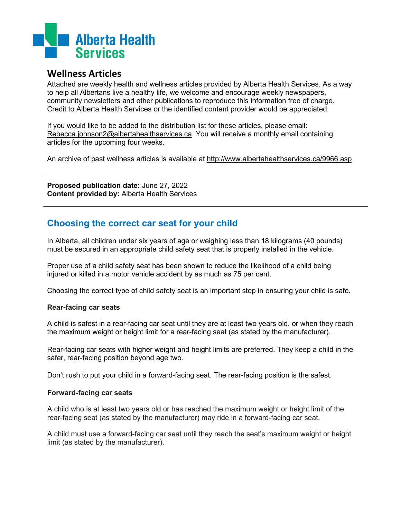

# **Wellness Articles**

Attached are weekly health and wellness articles provided by Alberta Health Services. As a way to help all Albertans live a healthy life, we welcome and encourage weekly newspapers, community newsletters and other publications to reproduce this information free of charge. Credit to Alberta Health Services or the identified content provider would be appreciated.

If you would like to be added to the distribution list for these articles, please email: [Rebecca.johnson2@albertahealthservices.ca.](mailto:Rebecca.johnson2@albertahealthservices.ca) You will receive a monthly email containing articles for the upcoming four weeks.

An archive of past wellness articles is available at<http://www.albertahealthservices.ca/9966.asp>

**Proposed publication date:** June 27, 2022 **Content provided by:** Alberta Health Services

# **Choosing the correct car seat for your child**

In Alberta, all children under six years of age or weighing less than 18 kilograms (40 pounds) must be secured in an appropriate child safety seat that is properly installed in the vehicle.

Proper use of a child safety seat has been shown to reduce the likelihood of a child being injured or killed in a motor vehicle accident by as much as 75 per cent.

Choosing the correct type of child safety seat is an important step in ensuring your child is safe.

## **Rear-facing car seats**

A child is safest in a rear-facing car seat until they are at least two years old, or when they reach the maximum weight or height limit for a rear-facing seat (as stated by the manufacturer).

Rear-facing car seats with higher weight and height limits are preferred. They keep a child in the safer, rear-facing position beyond age two.

Don't rush to put your child in a forward-facing seat. The rear-facing position is the safest.

#### **Forward-facing car seats**

A child who is at least two years old or has reached the maximum weight or height limit of the rear-facing seat (as stated by the manufacturer) may ride in a forward-facing car seat.

A child must use a forward-facing car seat until they reach the seat's maximum weight or height limit (as stated by the manufacturer).